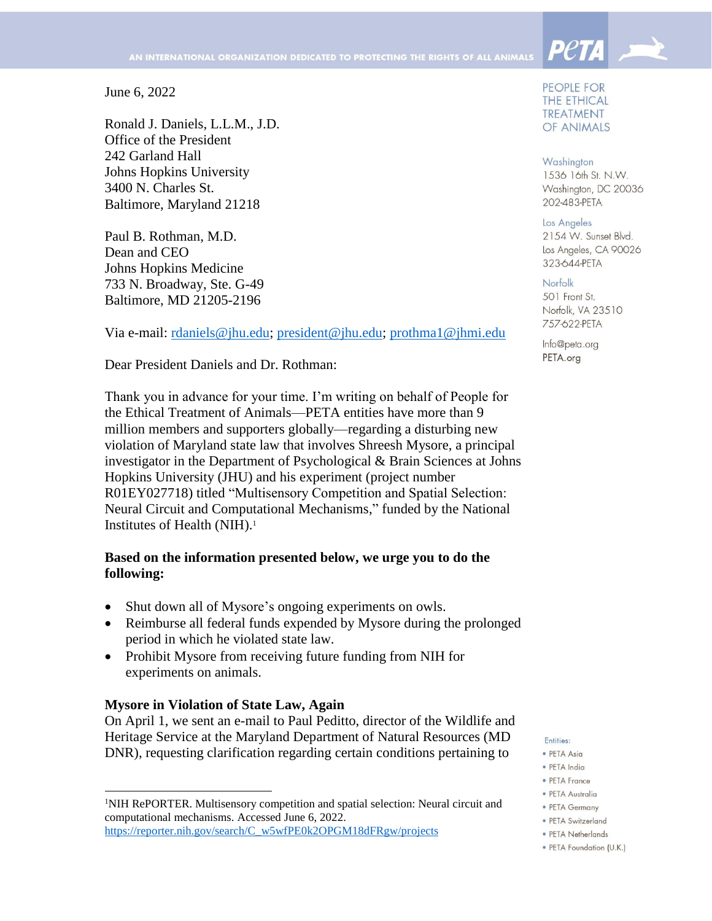June 6, 2022

Ronald J. Daniels, L.L.M., J.D. Office of the President 242 Garland Hall Johns Hopkins University 3400 N. Charles St. Baltimore, Maryland 21218

Paul B. Rothman, M.D. Dean and CEO Johns Hopkins Medicine 733 N. Broadway, Ste. G-49 Baltimore, MD 21205-2196

Via e-mail: [rdaniels@jhu.edu;](mailto:rdaniels@jhu.edu) [president@jhu.edu;](mailto:president@jhu.edu) [prothma1@jhmi.edu](mailto:prothma1@jhmi.edu)

Dear President Daniels and Dr. Rothman:

Thank you in advance for your time. I'm writing on behalf of People for the Ethical Treatment of Animals—PETA entities have more than 9 million members and supporters globally—regarding a disturbing new violation of Maryland state law that involves Shreesh Mysore, a principal investigator in the Department of Psychological & Brain Sciences at Johns Hopkins University (JHU) and his experiment (project number R01EY027718) titled "Multisensory Competition and Spatial Selection: Neural Circuit and Computational Mechanisms," funded by the National Institutes of Health (NIH).<sup>1</sup>

# **Based on the information presented below, we urge you to do the following:**

- Shut down all of Mysore's ongoing experiments on owls.
- Reimburse all federal funds expended by Mysore during the prolonged period in which he violated state law.
- Prohibit Mysore from receiving future funding from NIH for experiments on animals.

## **Mysore in Violation of State Law, Again**

 $\overline{\phantom{a}}$ 

On April 1, we sent an e-mail to Paul Peditto, director of the Wildlife and Heritage Service at the Maryland Department of Natural Resources (MD DNR), requesting clarification regarding certain conditions pertaining to

PEOPLE FOR **THE ETHICAL TREATMENT** OF ANIMALS

**Peta** 

## Washington

1536 16th St. N.W. Washington, DC 20036 202-483-PETA

### Los Angeles

2154 W. Sunset Blvd. Los Angeles, CA 90026 323-644-PETA

## Norfolk

501 Front St. Norfolk, VA 23510 757-622-PETA

Info@peta.org PETA.org

### Entities:

- · PETA Asia
- · PETA India
- PETA France
- · PETA Australia
- PETA Germany
- · PETA Switzerland
- PETA Netherlands
- · PETA Foundation (U.K.)

<sup>1</sup>NIH RePORTER. Multisensory competition and spatial selection: Neural circuit and computational mechanisms. Accessed June 6, 2022. [https://reporter.nih.gov/search/C\\_w5wfPE0k2OPGM18dFRgw/projects](https://reporter.nih.gov/search/C_w5wfPE0k2OPGM18dFRgw/projects)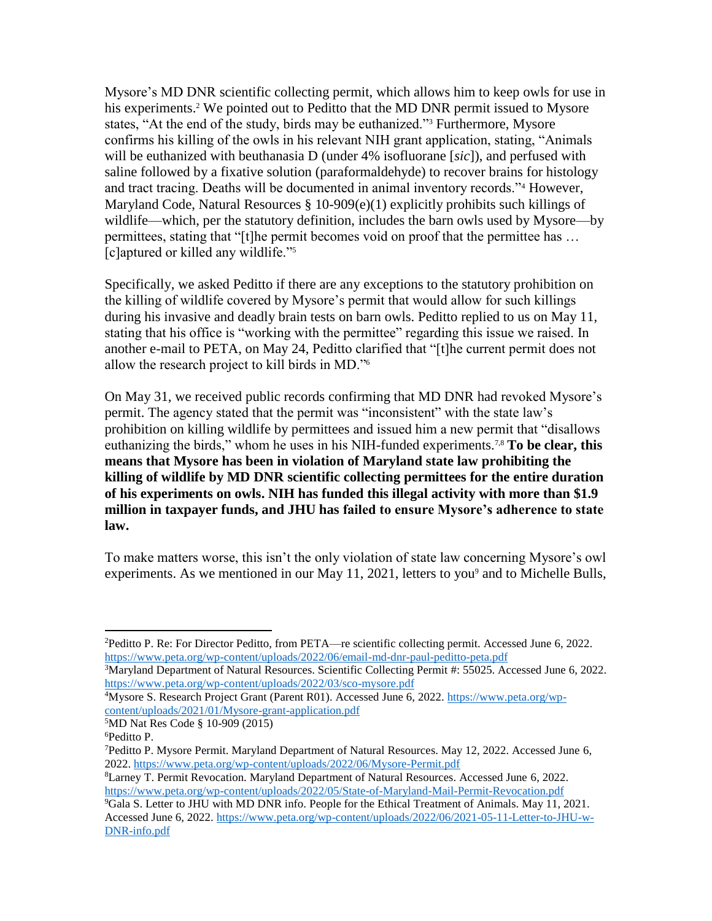Mysore's MD DNR scientific collecting permit, which allows him to keep owls for use in his experiments.<sup>2</sup> We pointed out to Peditto that the MD DNR permit issued to Mysore states, "At the end of the study, birds may be euthanized."<sup>3</sup> Furthermore, Mysore confirms his killing of the owls in his relevant NIH grant application, stating, "Animals will be euthanized with beuthanasia D (under 4% isofluorane [*sic*]), and perfused with saline followed by a fixative solution (paraformaldehyde) to recover brains for histology and tract tracing. Deaths will be documented in animal inventory records."<sup>4</sup> However, Maryland Code, Natural Resources § 10-909(e)(1) explicitly prohibits such killings of wildlife—which, per the statutory definition, includes the barn owls used by Mysore—by permittees, stating that "[t]he permit becomes void on proof that the permittee has … [c]aptured or killed any wildlife."<sup>5</sup>

Specifically, we asked Peditto if there are any exceptions to the statutory prohibition on the killing of wildlife covered by Mysore's permit that would allow for such killings during his invasive and deadly brain tests on barn owls. Peditto replied to us on May 11, stating that his office is "working with the permittee" regarding this issue we raised. In another e-mail to PETA, on May 24, Peditto clarified that "[t]he current permit does not allow the research project to kill birds in MD."<sup>6</sup>

On May 31, we received public records confirming that MD DNR had revoked Mysore's permit. The agency stated that the permit was "inconsistent" with the state law's prohibition on killing wildlife by permittees and issued him a new permit that "disallows euthanizing the birds," whom he uses in his NIH-funded experiments.7,8 **To be clear, this means that Mysore has been in violation of Maryland state law prohibiting the killing of wildlife by MD DNR scientific collecting permittees for the entire duration of his experiments on owls. NIH has funded this illegal activity with more than \$1.9 million in taxpayer funds, and JHU has failed to ensure Mysore's adherence to state law.** 

To make matters worse, this isn't the only violation of state law concerning Mysore's owl experiments. As we mentioned in our May 11, 2021, letters to you<sup>9</sup> and to Michelle Bulls,

 $\overline{\phantom{a}}$ <sup>2</sup>Peditto P. Re: For Director Peditto, from PETA—re scientific collecting permit. Accessed June 6, 2022. <https://www.peta.org/wp-content/uploads/2022/06/email-md-dnr-paul-peditto-peta.pdf>

<sup>&</sup>lt;sup>3</sup>Maryland Department of Natural Resources. Scientific Collecting Permit #: 55025. Accessed June 6, 2022. <https://www.peta.org/wp-content/uploads/2022/03/sco-mysore.pdf>

<sup>4</sup>Mysore S. Research Project Grant (Parent R01). Accessed June 6, 2022[. https://www.peta.org/wp](https://www.peta.org/wp-content/uploads/2021/01/Mysore-grant-application.pdf)[content/uploads/2021/01/Mysore-grant-application.pdf](https://www.peta.org/wp-content/uploads/2021/01/Mysore-grant-application.pdf)

<sup>5</sup>MD Nat Res Code § 10-909 (2015)

<sup>6</sup>Peditto P.

<sup>7</sup>Peditto P. Mysore Permit. Maryland Department of Natural Resources. May 12, 2022. Accessed June 6, 2022.<https://www.peta.org/wp-content/uploads/2022/06/Mysore-Permit.pdf>

<sup>8</sup>Larney T. Permit Revocation. Maryland Department of Natural Resources. Accessed June 6, 2022. <https://www.peta.org/wp-content/uploads/2022/05/State-of-Maryland-Mail-Permit-Revocation.pdf>

<sup>9</sup>Gala S. Letter to JHU with MD DNR info. People for the Ethical Treatment of Animals. May 11, 2021. Accessed June 6, 2022. [https://www.peta.org/wp-content/uploads/2022/06/2021-05-11-Letter-to-JHU-w-](https://www.peta.org/wp-content/uploads/2022/06/2021-05-11-Letter-to-JHU-w-DNR-info.pdf)[DNR-info.pdf](https://www.peta.org/wp-content/uploads/2022/06/2021-05-11-Letter-to-JHU-w-DNR-info.pdf)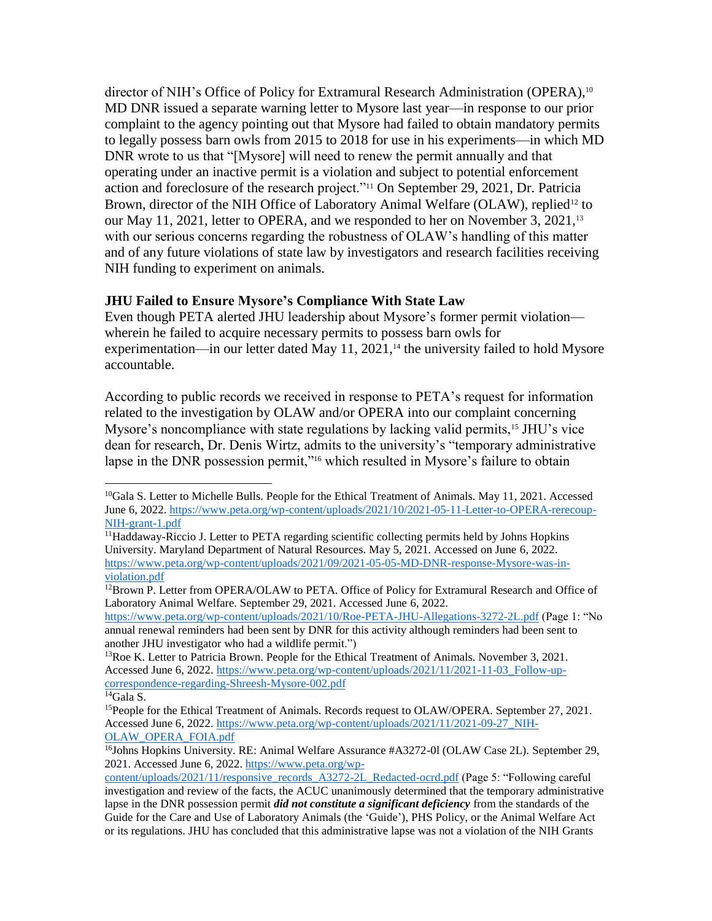director of NIH's Office of Policy for Extramural Research Administration (OPERA),<sup>10</sup> MD DNR issued a separate warning letter to Mysore last year—in response to our prior complaint to the agency pointing out that Mysore had failed to obtain mandatory permits to legally possess barn owls from 2015 to 2018 for use in his experiments—in which MD DNR wrote to us that "[Mysore] will need to renew the permit annually and that operating under an inactive permit is a violation and subject to potential enforcement action and foreclosure of the research project."<sup>11</sup> On September 29, 2021, Dr. Patricia Brown, director of the NIH Office of Laboratory Animal Welfare (OLAW), replied<sup>12</sup> to our May 11, 2021, letter to OPERA, and we responded to her on November 3, 2021,<sup>13</sup> with our serious concerns regarding the robustness of OLAW's handling of this matter and of any future violations of state law by investigators and research facilities receiving NIH funding to experiment on animals.

# **JHU Failed to Ensure Mysore's Compliance With State Law**

Even though PETA alerted JHU leadership about Mysore's former permit violation wherein he failed to acquire necessary permits to possess barn owls for experimentation—in our letter dated May  $11$ ,  $2021$ ,<sup>14</sup> the university failed to hold Mysore accountable.

According to public records we received in response to PETA's request for information related to the investigation by OLAW and/or OPERA into our complaint concerning Mysore's noncompliance with state regulations by lacking valid permits,<sup>15</sup> JHU's vice dean for research, Dr. Denis Wirtz, admits to the university's "temporary administrative lapse in the DNR possession permit,"<sup>16</sup> which resulted in Mysore's failure to obtain

<https://www.peta.org/wp-content/uploads/2021/10/Roe-PETA-JHU-Allegations-3272-2L.pdf> (Page 1: "No annual renewal reminders had been sent by DNR for this activity although reminders had been sent to another JHU investigator who had a wildlife permit.")

<span id="page-2-0"></span>l

<sup>&</sup>lt;sup>10</sup>Gala S. Letter to Michelle Bulls. People for the Ethical Treatment of Animals. May 11, 2021. Accessed June 6, 2022. [https://www.peta.org/wp-content/uploads/2021/10/2021-05-11-Letter-to-OPERA-rerecoup-](https://www.peta.org/wp-content/uploads/2021/10/2021-05-11-Letter-to-OPERA-rerecoup-NIH-grant-1.pdf)[NIH-grant-1.pdf](https://www.peta.org/wp-content/uploads/2021/10/2021-05-11-Letter-to-OPERA-rerecoup-NIH-grant-1.pdf)

<sup>&</sup>lt;sup>11</sup>Haddaway-Riccio J. Letter to PETA regarding scientific collecting permits held by Johns Hopkins University. Maryland Department of Natural Resources. May 5, 2021. Accessed on June 6, 2022. [https://www.peta.org/wp-content/uploads/2021/09/2021-05-05-MD-DNR-response-Mysore-was-in](https://www.peta.org/wp-content/uploads/2021/09/2021-05-05-MD-DNR-response-Mysore-was-in-violation.pdf)[violation.pdf](https://www.peta.org/wp-content/uploads/2021/09/2021-05-05-MD-DNR-response-Mysore-was-in-violation.pdf)

<sup>&</sup>lt;sup>12</sup>Brown P. Letter from OPERA/OLAW to PETA. Office of Policy for Extramural Research and Office of Laboratory Animal Welfare. September 29, 2021. Accessed June 6, 2022.

<sup>&</sup>lt;sup>13</sup>Roe K. Letter to Patricia Brown. People for the Ethical Treatment of Animals. November 3, 2021. Accessed June 6, 2022. [https://www.peta.org/wp-content/uploads/2021/11/2021-11-03\\_Follow-up](https://www.peta.org/wp-content/uploads/2021/11/2021-11-03_Follow-up-correspondence-regarding-Shreesh-Mysore-002.pdf)[correspondence-regarding-Shreesh-Mysore-002.pdf](https://www.peta.org/wp-content/uploads/2021/11/2021-11-03_Follow-up-correspondence-regarding-Shreesh-Mysore-002.pdf)

 ${}^{14}$ Gala S.

<sup>&</sup>lt;sup>15</sup>People for the Ethical Treatment of Animals. Records request to OLAW/OPERA. September 27, 2021. Accessed June 6, 2022. [https://www.peta.org/wp-content/uploads/2021/11/2021-09-27\\_NIH-](https://www.peta.org/wp-content/uploads/2021/11/2021-09-27_NIH-OLAW_OPERA_FOIA.pdf)[OLAW\\_OPERA\\_FOIA.pdf](https://www.peta.org/wp-content/uploads/2021/11/2021-09-27_NIH-OLAW_OPERA_FOIA.pdf)

<sup>&</sup>lt;sup>16</sup>Johns Hopkins University. RE: Animal Welfare Assurance #A3272-0l (OLAW Case 2L). September 29, 2021. Accessed June 6, 2022. [https://www.peta.org/wp-](https://www.peta.org/wp-content/uploads/2021/11/responsive_records_A3272-2L_Redacted-ocrd.pdf)

[content/uploads/2021/11/responsive\\_records\\_A3272-2L\\_Redacted-ocrd.pdf](https://www.peta.org/wp-content/uploads/2021/11/responsive_records_A3272-2L_Redacted-ocrd.pdf) (Page 5: "Following careful investigation and review of the facts, the ACUC unanimously determined that the temporary administrative lapse in the DNR possession permit *did not constitute a significant deficiency* from the standards of the Guide for the Care and Use of Laboratory Animals (the 'Guide'), PHS Policy, or the Animal Welfare Act or its regulations. JHU has concluded that this administrative lapse was not a violation of the NIH Grants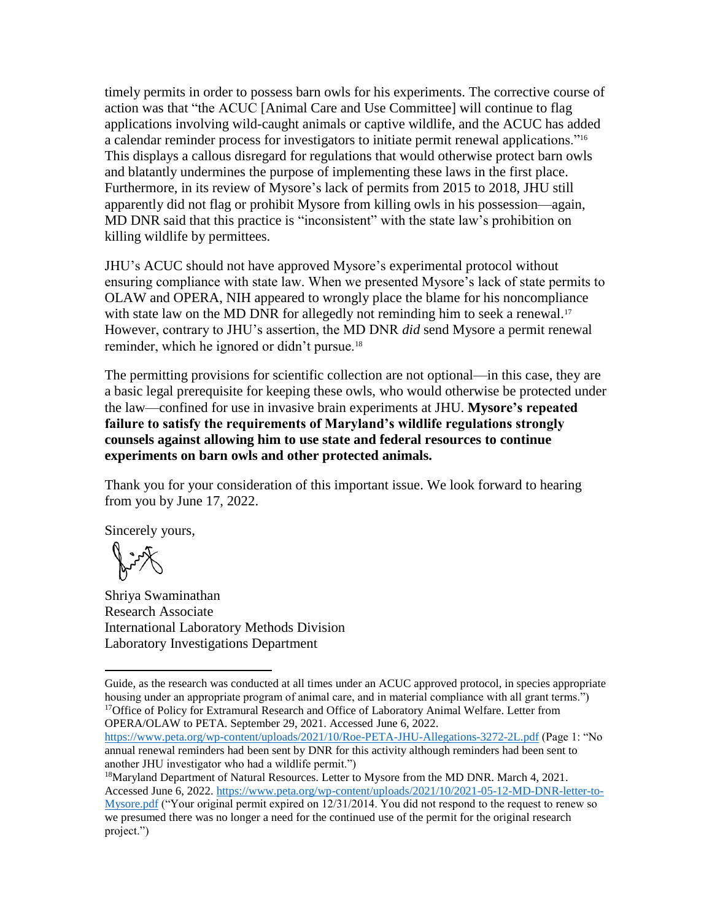timely permits in order to possess barn owls for his experiments. The corrective course of action was that "the ACUC [Animal Care and Use Committee] will continue to flag applications involving wild-caught animals or captive wildlife, and the ACUC has added a calendar reminder process for investigators to initiate permit renewal applications."[16](#page-2-0) This displays a callous disregard for regulations that would otherwise protect barn owls and blatantly undermines the purpose of implementing these laws in the first place. Furthermore, in its review of Mysore's lack of permits from 2015 to 2018, JHU still apparently did not flag or prohibit Mysore from killing owls in his possession—again, MD DNR said that this practice is "inconsistent" with the state law's prohibition on killing wildlife by permittees.

JHU's ACUC should not have approved Mysore's experimental protocol without ensuring compliance with state law. When we presented Mysore's lack of state permits to OLAW and OPERA, NIH appeared to wrongly place the blame for his noncompliance with state law on the MD DNR for allegedly not reminding him to seek a renewal.<sup>17</sup> However, contrary to JHU's assertion, the MD DNR *did* send Mysore a permit renewal reminder, which he ignored or didn't pursue.<sup>18</sup>

The permitting provisions for scientific collection are not optional—in this case, they are a basic legal prerequisite for keeping these owls, who would otherwise be protected under the law—confined for use in invasive brain experiments at JHU. **Mysore's repeated failure to satisfy the requirements of Maryland's wildlife regulations strongly counsels against allowing him to use state and federal resources to continue experiments on barn owls and other protected animals.**

Thank you for your consideration of this important issue. We look forward to hearing from you by June 17, 2022.

Sincerely yours,

Rig

 $\overline{\phantom{a}}$ 

Shriya Swaminathan Research Associate International Laboratory Methods Division Laboratory Investigations Department

Guide, as the research was conducted at all times under an ACUC approved protocol, in species appropriate housing under an appropriate program of animal care, and in material compliance with all grant terms.") <sup>17</sup>Office of Policy for Extramural Research and Office of Laboratory Animal Welfare. Letter from OPERA/OLAW to PETA. September 29, 2021. Accessed June 6, 2022.

<https://www.peta.org/wp-content/uploads/2021/10/Roe-PETA-JHU-Allegations-3272-2L.pdf> (Page 1: "No annual renewal reminders had been sent by DNR for this activity although reminders had been sent to another JHU investigator who had a wildlife permit.")

<sup>18</sup>Maryland Department of Natural Resources. Letter to Mysore from the MD DNR. March 4, 2021. Accessed June 6, 2022. [https://www.peta.org/wp-content/uploads/2021/10/2021-05-12-MD-DNR-letter-to-](https://www.peta.org/wp-content/uploads/2021/10/2021-05-12-MD-DNR-letter-to-Mysore.pdf)[Mysore.pdf](https://www.peta.org/wp-content/uploads/2021/10/2021-05-12-MD-DNR-letter-to-Mysore.pdf) ("Your original permit expired on 12/31/2014. You did not respond to the request to renew so we presumed there was no longer a need for the continued use of the permit for the original research project.")